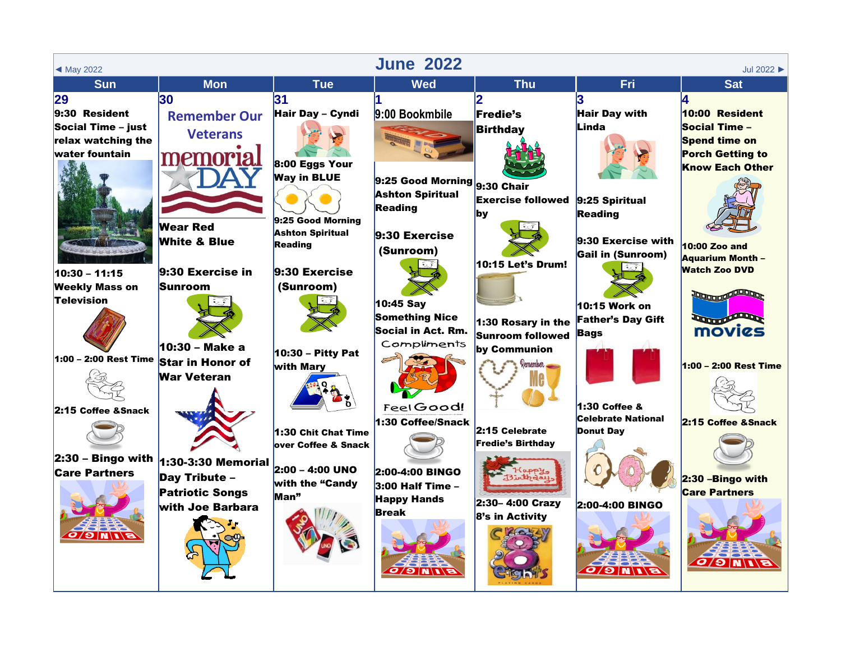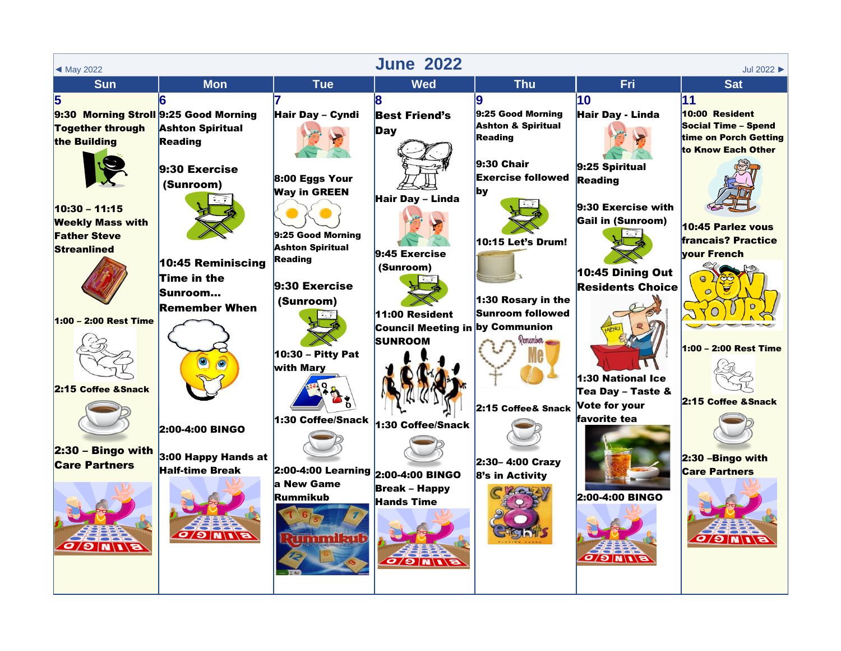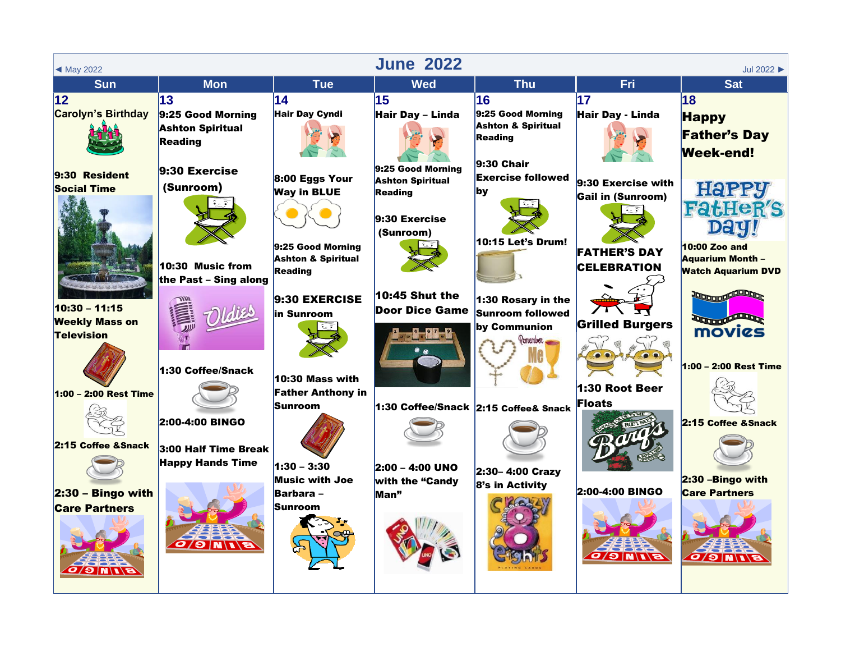| ◀ May 2022                                     |                                                                      |                                                                                | <b>June 2022</b>                                                                        |                                                                            |                                                | Jul 2022                                                                     |
|------------------------------------------------|----------------------------------------------------------------------|--------------------------------------------------------------------------------|-----------------------------------------------------------------------------------------|----------------------------------------------------------------------------|------------------------------------------------|------------------------------------------------------------------------------|
| <b>Sun</b>                                     | <b>Mon</b>                                                           | <b>Tue</b>                                                                     | <b>Wed</b>                                                                              | <b>Thu</b>                                                                 | <b>Fri</b>                                     | <b>Sat</b>                                                                   |
| $ 12\rangle$<br><b>Carolyn's Birthday</b>      | 13<br>9:25 Good Morning<br><b>Ashton Spiritual</b><br><b>Reading</b> | 14<br><b>Hair Day Cyndi</b>                                                    | 15<br>Hair Day - Linda                                                                  | 16<br>9:25 Good Morning<br><b>Ashton &amp; Spiritual</b><br>Reading        | 17<br>Hair Day - Linda                         | 18<br><b>Happy</b><br><b>Father's Day</b><br><b>Week-end!</b>                |
| 9:30 Resident<br><b>Social Time</b>            | $9:30$ Exercise<br>(Sunroom)                                         | 8:00 Eggs Your<br><b>Way in BLUE</b>                                           | 9:25 Good Morning<br><b>Ashton Spiritual</b><br>Reading<br>$9:30$ Exercise<br>(Sunroom) | $9:30$ Chair<br><b>Exercise followed</b><br><b>by</b><br>10:15 Let's Drum! | 9:30 Exercise with<br><b>Gail in (Sunroom)</b> | <b>HaPPY</b><br><b>FatHeR'S</b>                                              |
| 10:30 - 11:15                                  | 10:30 Music from<br>the Past - Sing along                            | 9:25 Good Morning<br><b>Ashton &amp; Spiritual</b><br>Reading<br>9:30 EXERCISE | $10:45$ Shut the<br><b>Door Dice Game</b>                                               | 1:30 Rosary in the                                                         | <b>FATHER'S DAY</b><br><b>CELEBRATION</b>      | <b>10:00 Zoo and</b><br><b>Aquarium Month -</b><br><b>Watch Aquarium DVD</b> |
| <b>Weekly Mass on</b><br><b>Television</b>     | 1:30 Coffee/Snack                                                    | in Sunroom                                                                     |                                                                                         | <b>Sunroom followed</b><br>by Communion<br>Remember                        | <b>Grilled Burgers</b>                         | <b>Louise Comparter</b><br>movies<br>1:00 - 2:00 Rest Time                   |
| $1:00 - 2:00$ Rest Time<br>2:15 Coffee & Snack | 2:00-4:00 BINGO                                                      | 10:30 Mass with<br><b>Father Anthony in</b><br>Sunroom                         | 1:30 Coffee/Snack 2:15 Coffee& Snack                                                    |                                                                            | 1:30 Root Beer<br><b>Floats</b>                | 2:15 Coffee & Snack                                                          |
| $2:30 -$ Bingo with                            | 3:00 Half Time Break<br><b>Happy Hands Time</b>                      | $1:30 - 3:30$<br><b>Music with Joe</b><br>Barbara -                            | 2:00 - 4:00 UNO<br>with the "Candy<br>Man"                                              | 2:30-4:00 Crazy<br>8's in Activity                                         | 2:00-4:00 BINGO                                | 2:30 - Bingo with<br><b>Care Partners</b>                                    |
| <b>Care Partners</b><br><b>BIND</b>            | O O N I B                                                            | Sunroom                                                                        |                                                                                         |                                                                            | G/O/N                                          | G/O/N                                                                        |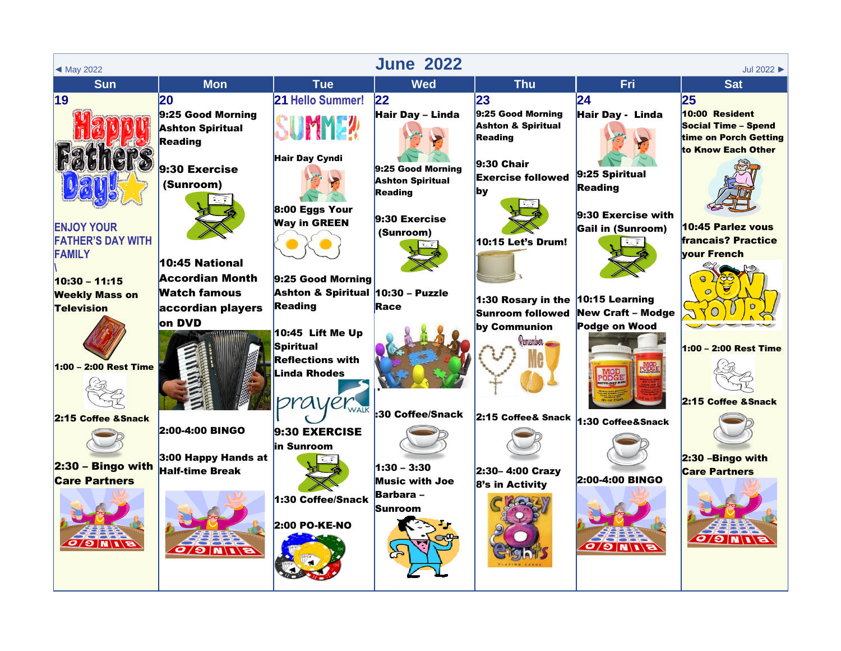| $\triangleleft$ May 2022 |                                                     |                                   | <b>June 2022</b>                          |                                          |                                                        | Jul 2022 >                                          |
|--------------------------|-----------------------------------------------------|-----------------------------------|-------------------------------------------|------------------------------------------|--------------------------------------------------------|-----------------------------------------------------|
| <b>Sun</b>               | <b>Mon</b>                                          | <b>Tue</b>                        | <b>Wed</b>                                | <b>Thu</b>                               | Fri                                                    | <b>Sat</b>                                          |
| 19                       | 20                                                  | 21 Hello Summer!                  | 22                                        | 23                                       | $\overline{24}$                                        | 25                                                  |
|                          | 9:25 Good Morning                                   |                                   | Hair Day - Linda                          | 9:25 Good Morning                        | Hair Day - Linda                                       | 10:00 Resident                                      |
|                          | <b>Ashton Spiritual</b>                             | IMME!                             |                                           | <b>Ashton &amp; Spiritual</b><br>Reading |                                                        | <b>Social Time - Spend</b><br>time on Porch Getting |
|                          | Reading                                             |                                   |                                           |                                          |                                                        | to Know Each Other                                  |
|                          | $9:30$ Exercise                                     | <b>Hair Day Cyndi</b>             | 9:25 Good Morning                         | $9:30$ Chair                             |                                                        |                                                     |
|                          | (Sunroom)                                           |                                   | <b>Ashton Spiritual</b>                   | <b>Exercise followed</b>                 | 9:25 Spiritual                                         |                                                     |
|                          |                                                     |                                   | Reading                                   | <b>by</b>                                | <b>Reading</b>                                         |                                                     |
|                          |                                                     | $8:00$ Eggs Your                  |                                           |                                          | 9:30 Exercise with                                     |                                                     |
| <b>ENJOY YOUR</b>        |                                                     | <b>Way in GREEN</b>               | 9:30 Exercise<br>(Sunroom)                |                                          | <b>Gail in (Sunroom)</b>                               | 10:45 Parlez vous                                   |
| <b>FATHER'S DAY WITH</b> |                                                     |                                   |                                           | <b>10:15 Let's Drum!</b>                 | $\widetilde{\bullet}_{\mathbb{Z}}$ $\widehat{\bullet}$ | <b>francais? Practice</b>                           |
| <b>FAMILY</b>            | 10:45 National                                      |                                   |                                           |                                          |                                                        | <b>vour French</b>                                  |
| $10:30 - 11:15$          | <b>Accordian Month</b>                              | 9:25 Good Morning                 |                                           |                                          |                                                        |                                                     |
| <b>Weekly Mass on</b>    | Watch famous                                        | Ashton & Spiritual 10:30 - Puzzle |                                           |                                          | 10:15 Learning                                         |                                                     |
| <b>Television</b>        | accordian players                                   | Reading                           | Race                                      | 1:30 Rosary in the<br>Sunroom followed   | <b>New Craft - Modge</b>                               |                                                     |
|                          | on DVD                                              |                                   |                                           | by Communion                             | Podge on Wood                                          |                                                     |
|                          |                                                     | 10:45 Lift Me Up<br>Spiritual     |                                           | Remember                                 |                                                        | 1:00 - 2:00 Rest Time                               |
|                          |                                                     | <b>Reflections with</b>           |                                           |                                          |                                                        |                                                     |
| 1:00 - 2:00 Rest Time    |                                                     | <b>Linda Rhodes</b>               |                                           |                                          | <b>MOD</b><br>PODGE                                    |                                                     |
|                          |                                                     |                                   |                                           |                                          |                                                        |                                                     |
|                          |                                                     | prayer                            | :30 Coffee/Snack                          |                                          |                                                        | 2:15 Coffee & Snack                                 |
| 2:15 Coffee & Snack      | 2:00-4:00 BINGO                                     |                                   |                                           | 2:15 Coffee& Snack                       | 1:30 Coffee&Snack                                      |                                                     |
|                          |                                                     | 9:30 EXERCISE<br>in Sunroom       |                                           |                                          |                                                        |                                                     |
|                          | $3:00$ Happy Hands at                               |                                   |                                           |                                          |                                                        | 2:30 - Bingo with                                   |
| $2:30 -$ Bingo with      | <b>Half-time Break</b>                              |                                   | $1:30 - 3:30$                             | 2:30-4:00 Crazy                          | 2:00-4:00 BINGO                                        | <b>Care Partners</b>                                |
| <b>Care Partners</b>     |                                                     |                                   | <b>Music with Joe</b><br><b>Barbara</b> – | 8's in Activity                          |                                                        |                                                     |
|                          |                                                     | 1:30 Coffee/Snack                 | Sunroom                                   |                                          |                                                        |                                                     |
|                          |                                                     | 2:00 PO-KE-NO                     |                                           |                                          |                                                        |                                                     |
| <b>BINDO</b>             |                                                     |                                   |                                           |                                          |                                                        | $\sigma/\sigma$ $N/\sqrt{s}$                        |
|                          | $\sigma$ / $\Gamma$ $\mid$ $\sigma$ $\mid$ $\sigma$ |                                   |                                           |                                          | $E/I/\parallel G/O$                                    |                                                     |
|                          |                                                     |                                   |                                           |                                          |                                                        |                                                     |
|                          |                                                     |                                   |                                           |                                          |                                                        |                                                     |